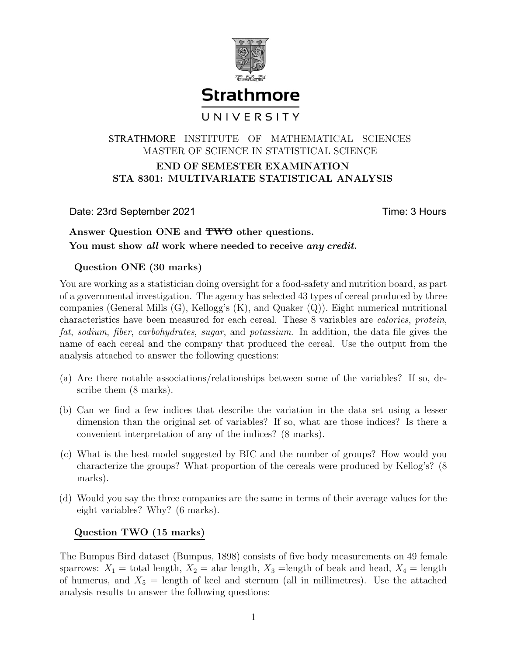

# END OF SEMESTER EXAMINATION STA 8301: MULTIVARIATE STATISTICAL ANALYSIS STRATHMORE INSTITUTE OF MATHEMATICAL SCIENCES MASTER OF SCIENCE IN STATISTICAL SCIENCE

Date: 23rd September 2021 Time: 3 Hours

## Answer Question ONE and TWO other questions. You must show all work where needed to receive any credit.

### Question ONE (30 marks)

You are working as a statistician doing oversight for a food-safety and nutrition board, as part of a governmental investigation. The agency has selected 43 types of cereal produced by three companies (General Mills (G), Kellogg's (K), and Quaker (Q)). Eight numerical nutritional characteristics have been measured for each cereal. These 8 variables are calories, protein, fat, sodium, fiber, carbohydrates, sugar, and potassium. In addition, the data file gives the name of each cereal and the company that produced the cereal. Use the output from the analysis attached to answer the following questions:

- (a) Are there notable associations/relationships between some of the variables? If so, describe them (8 marks).
- (b) Can we find a few indices that describe the variation in the data set using a lesser dimension than the original set of variables? If so, what are those indices? Is there a convenient interpretation of any of the indices? (8 marks).
- (c) What is the best model suggested by BIC and the number of groups? How would you characterize the groups? What proportion of the cereals were produced by Kellog's? (8 marks).
- (d) Would you say the three companies are the same in terms of their average values for the eight variables? Why? (6 marks).

### Question TWO (15 marks)

The Bumpus Bird dataset (Bumpus, 1898) consists of five body measurements on 49 female sparrows:  $X_1 =$  total length,  $X_2 =$  alar length,  $X_3 =$  length of beak and head,  $X_4 =$  length of humerus, and  $X_5 = \text{length}$  of keel and sternum (all in millimetres). Use the attached analysis results to answer the following questions: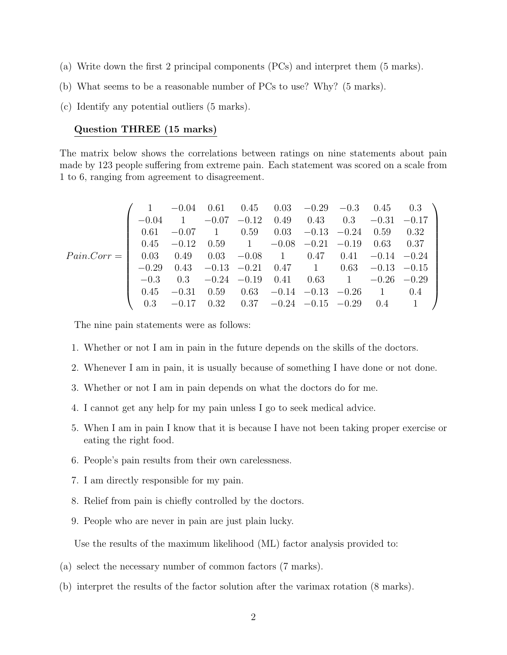- (a) Write down the first 2 principal components (PCs) and interpret them (5 marks).
- (b) What seems to be a reasonable number of PCs to use? Why? (5 marks).
- (c) Identify any potential outliers (5 marks).

#### Question THREE (15 marks)

The matrix below shows the correlations between ratings on nine statements about pain made by 123 people suffering from extreme pain. Each statement was scored on a scale from 1 to 6, ranging from agreement to disagreement.

$$
Pair.Corr = \left(\begin{array}{cccccccc} 1 & -0.04 & 0.61 & 0.45 & 0.03 & -0.29 & -0.3 & 0.45 & 0.3 \\ -0.04 & 1 & -0.07 & -0.12 & 0.49 & 0.43 & 0.3 & -0.31 & -0.17 \\ 0.61 & -0.07 & 1 & 0.59 & 0.03 & -0.13 & -0.24 & 0.59 & 0.32 \\ 0.45 & -0.12 & 0.59 & 1 & -0.08 & -0.21 & -0.19 & 0.63 & 0.37 \\ 0.03 & 0.49 & 0.03 & -0.08 & 1 & 0.47 & 0.41 & -0.14 & -0.24 \\ -0.29 & 0.43 & -0.13 & -0.21 & 0.47 & 1 & 0.63 & -0.13 & -0.15 \\ -0.3 & 0.3 & -0.24 & -0.19 & 0.41 & 0.63 & 1 & -0.26 & -0.29 \\ 0.45 & -0.31 & 0.59 & 0.63 & -0.14 & -0.13 & -0.26 & 1 & 0.4 \\ 0.3 & -0.17 & 0.32 & 0.37 & -0.24 & -0.15 & -0.29 & 0.4 & 1 \end{array}\right)
$$

The nine pain statements were as follows:

- 1. Whether or not I am in pain in the future depends on the skills of the doctors.
- 2. Whenever I am in pain, it is usually because of something I have done or not done.
- 3. Whether or not I am in pain depends on what the doctors do for me.
- 4. I cannot get any help for my pain unless I go to seek medical advice.
- 5. When I am in pain I know that it is because I have not been taking proper exercise or eating the right food.
- 6. People's pain results from their own carelessness.
- 7. I am directly responsible for my pain.
- 8. Relief from pain is chiefly controlled by the doctors.
- 9. People who are never in pain are just plain lucky.

Use the results of the maximum likelihood (ML) factor analysis provided to:

- (a) select the necessary number of common factors (7 marks).
- (b) interpret the results of the factor solution after the varimax rotation (8 marks).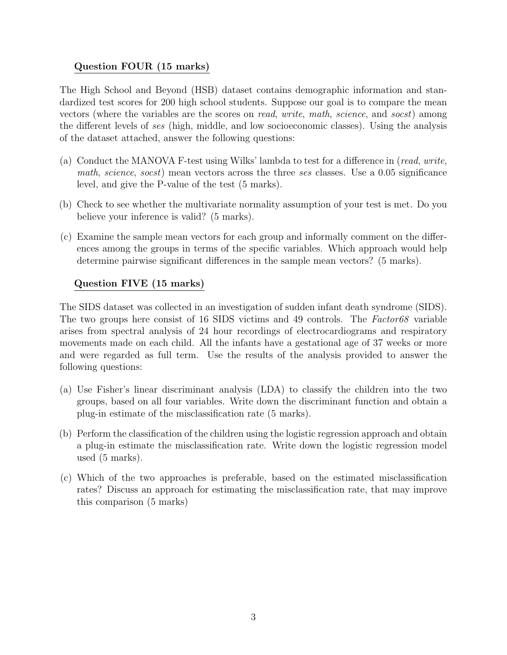### Question FOUR (15 marks)

The High School and Beyond (HSB) dataset contains demographic information and standardized test scores for 200 high school students. Suppose our goal is to compare the mean vectors (where the variables are the scores on read, write, math, science, and socst) among the different levels of ses (high, middle, and low socioeconomic classes). Using the analysis of the dataset attached, answer the following questions:

- (a) Conduct the MANOVA F-test using Wilks' lambda to test for a difference in (read, write, math, science, socst) mean vectors across the three ses classes. Use a 0.05 significance level, and give the P-value of the test (5 marks).
- (b) Check to see whether the multivariate normality assumption of your test is met. Do you believe your inference is valid? (5 marks).
- (c) Examine the sample mean vectors for each group and informally comment on the differences among the groups in terms of the specific variables. Which approach would help determine pairwise significant differences in the sample mean vectors? (5 marks).

### Question FIVE (15 marks)

The SIDS dataset was collected in an investigation of sudden infant death syndrome (SIDS). The two groups here consist of 16 SIDS victims and 49 controls. The  $Factor68$  variable arises from spectral analysis of 24 hour recordings of electrocardiograms and respiratory movements made on each child. All the infants have a gestational age of 37 weeks or more and were regarded as full term. Use the results of the analysis provided to answer the following questions:

- (a) Use Fisher's linear discriminant analysis (LDA) to classify the children into the two groups, based on all four variables. Write down the discriminant function and obtain a plug-in estimate of the misclassification rate (5 marks).
- (b) Perform the classification of the children using the logistic regression approach and obtain a plug-in estimate the misclassification rate. Write down the logistic regression model used (5 marks).
- (c) Which of the two approaches is preferable, based on the estimated misclassification rates? Discuss an approach for estimating the misclassification rate, that may improve this comparison (5 marks)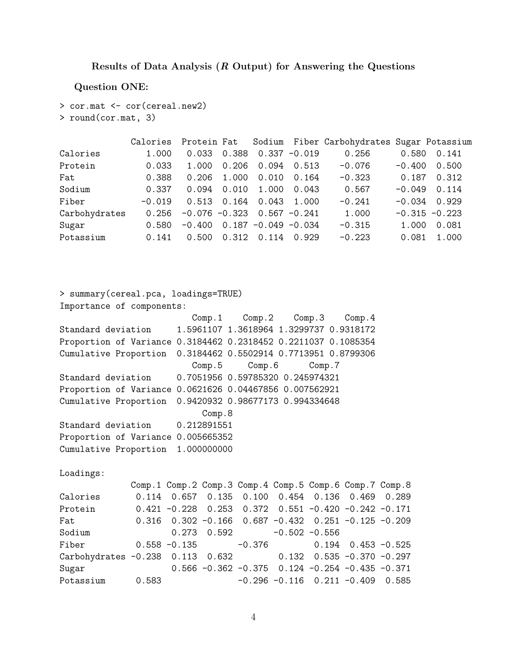#### Results of Data Analysis (R Output) for Answering the Questions

Question ONE:

```
> cor.mat <- cor(cereal.new2)
> round(cor.mat, 3)
```

|               | Calories |                                 |       |                         |                 | Protein Fat Sodium Fiber Carbohydrates Sugar Potassium |          |                  |
|---------------|----------|---------------------------------|-------|-------------------------|-----------------|--------------------------------------------------------|----------|------------------|
| Calories      | 1.000    | 0.033                           | 0.388 |                         | $0.337 - 0.019$ | 0.256                                                  | 0.580    | 0.141            |
| Protein       | 0.033    | 1.000                           | 0.206 | 0.094                   | 0.513           | $-0.076$                                               | $-0.400$ | 0.500            |
| Fat           | 0.388    | 0.206                           | 1.000 | 0.010                   | 0.164           | $-0.323$                                               | 0.187    | 0.312            |
| Sodium        | 0.337    | 0.094                           | 0.010 | 1.000                   | 0.043           | 0.567                                                  | $-0.049$ | 0.114            |
| Fiber         | $-0.019$ | 0.513                           | 0.164 | 0.043                   | 1.000           | $-0.241$                                               | $-0.034$ | 0.929            |
| Carbohydrates | 0.256    | $-0.076 - 0.323$ 0.567 $-0.241$ |       |                         |                 | 1.000                                                  |          | $-0.315 - 0.223$ |
| Sugar         | 0.580    | $-0.400$                        |       | $0.187 - 0.049 - 0.034$ |                 | $-0.315$                                               | 1.000    | 0.081            |
| Potassium     | 0.141    | 0.500                           | 0.312 | 0.114                   | 0.929           | $-0.223$                                               | 0.081    | 1.000            |

```
> summary(cereal.pca, loadings=TRUE)
Importance of components:
                      Comp.1 Comp.2 Comp.3 Comp.4
Standard deviation 1.5961107 1.3618964 1.3299737 0.9318172
Proportion of Variance 0.3184462 0.2318452 0.2211037 0.1085354
Cumulative Proportion 0.3184462 0.5502914 0.7713951 0.8799306
                      Comp.5 Comp.6 Comp.7
Standard deviation 0.7051956 0.59785320 0.245974321
Proportion of Variance 0.0621626 0.04467856 0.007562921
Cumulative Proportion 0.9420932 0.98677173 0.994334648
                        Comp.8
Standard deviation 0.212891551
Proportion of Variance 0.005665352
Cumulative Proportion 1.000000000
Loadings:
            Comp.1 Comp.2 Comp.3 Comp.4 Comp.5 Comp.6 Comp.7 Comp.8
Calories 0.114 0.657 0.135 0.100 0.454 0.136 0.469 0.289
Protein 0.421 -0.228 0.253 0.372 0.551 -0.420 -0.242 -0.171
Fat 0.316 0.302 -0.166 0.687 -0.432 0.251 -0.125 -0.209
Sodium 0.273 0.592 -0.502 -0.556
Fiber 0.558 -0.135 -0.376 0.194 0.453 -0.525
Carbohydrates -0.238 0.113 0.632 0.132 0.535 -0.370 -0.297
Sugar 0.566 -0.362 -0.375 0.124 -0.254 -0.435 -0.371
Potassium 0.583 -0.296 -0.116 0.211 -0.409 0.585
```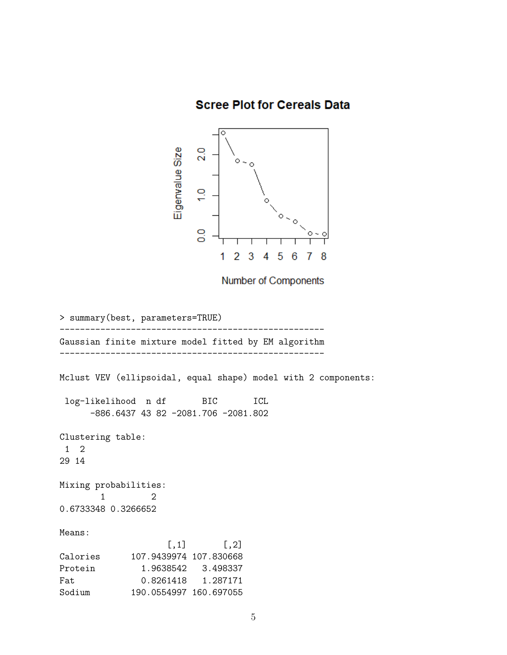**Scree Plot for Cereals Data** 



Number of Components

```
> summary(best, parameters=TRUE)
----------------------------------------------------
Gaussian finite mixture model fitted by EM algorithm
----------------------------------------------------
Mclust VEV (ellipsoidal, equal shape) model with 2 components:
log-likelihood n df BIC ICL
     -886.6437 43 82 -2081.706 -2081.802
Clustering table:
1 2
29 14
Mixing probabilities:
       1 2
0.6733348 0.3266652
Means:
                   [,1] [,2]Calories 107.9439974 107.830668
Protein 1.9638542 3.498337
Fat 0.8261418  1.287171
Sodium 190.0554997 160.697055
```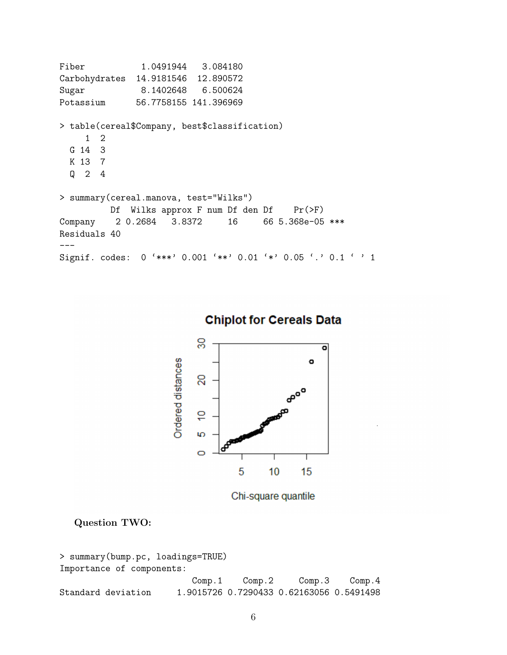```
Fiber 1.0491944 3.084180
Carbohydrates 14.9181546 12.890572
Sugar 8.1402648 6.500624
Potassium 56.7758155 141.396969
> table(cereal$Company, best$classification)
    1 2
 G 14 3
 K 13 7
 Q 2 4
> summary(cereal.manova, test="Wilks")
         Df Wilks approx F num Df den Df Pr(\ge F)Company 2 0.2684 3.8372 16 66 5.368e-05 ***
Residuals 40
---
Signif. codes: 0 '***' 0.001 '**' 0.01 '*' 0.05 '.' 0.1 ' ' 1
```


**Chiplot for Cereals Data** 

Chi-square quantile

Question TWO:

```
> summary(bump.pc, loadings=TRUE)
Importance of components:
                        Comp.1 Comp.2 Comp.3 Comp.4
Standard deviation 1.9015726 0.7290433 0.62163056 0.5491498
```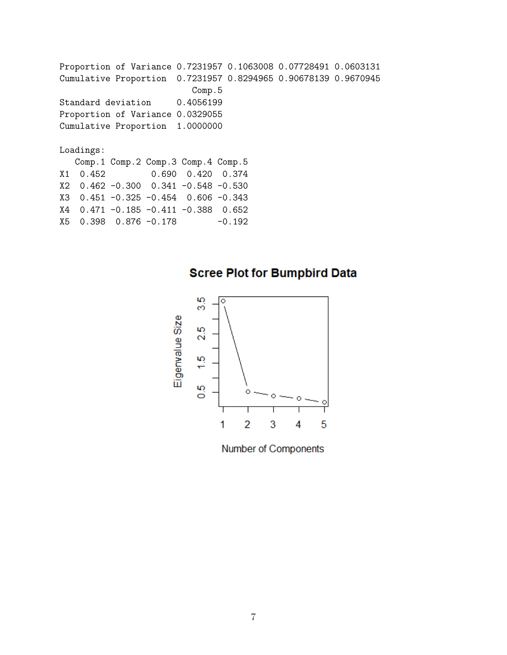Proportion of Variance 0.7231957 0.1063008 0.07728491 0.0603131 Cumulative Proportion 0.7231957 0.8294965 0.90678139 0.9670945 Comp.5 Standard deviation 0.4056199 Proportion of Variance 0.0329055 Cumulative Proportion 1.0000000 Loadings: Comp.1 Comp.2 Comp.3 Comp.4 Comp.5 X1 0.452 0.690 0.420 0.374 X2 0.462 -0.300 0.341 -0.548 -0.530 X3 0.451 -0.325 -0.454 0.606 -0.343 X4 0.471 -0.185 -0.411 -0.388 0.652 X5 0.398 0.876 -0.178 -0.192

# **Scree Plot for Bumpbird Data**



Number of Components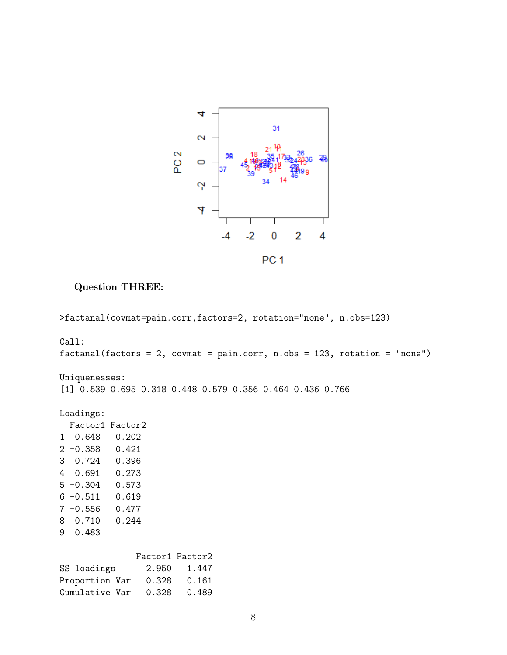

Question THREE:

>factanal(covmat=pain.corr,factors=2, rotation="none", n.obs=123) Call: factanal(factors = 2, covmat = pain.corr, n.obs = 123, rotation = "none") Uniquenesses: [1] 0.539 0.695 0.318 0.448 0.579 0.356 0.464 0.436 0.766 Loadings: Factor1 Factor2 1 0.648 0.202 2 -0.358 0.421 3 0.724 0.396 4 0.691 0.273 5 -0.304 0.573 6 -0.511 0.619 7 -0.556 0.477 8 0.710 0.244 9 0.483 Factor1 Factor2 SS loadings 2.950 1.447 Proportion Var 0.328 0.161 Cumulative Var 0.328 0.489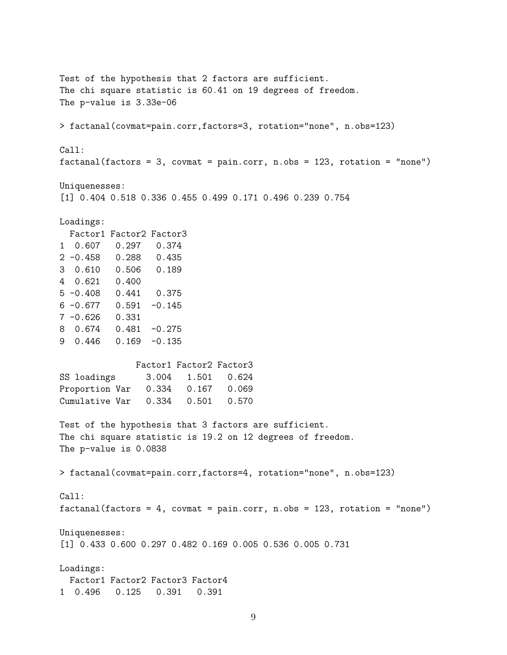Test of the hypothesis that 2 factors are sufficient. The chi square statistic is 60.41 on 19 degrees of freedom. The p-value is 3.33e-06 > factanal(covmat=pain.corr,factors=3, rotation="none", n.obs=123) Call:  $factors = 3$ ,  $covmat = pain.corr, n.obs = 123$ ,  $rotation = "none")$ Uniquenesses: [1] 0.404 0.518 0.336 0.455 0.499 0.171 0.496 0.239 0.754 Loadings: Factor1 Factor2 Factor3 1 0.607 0.297 0.374 2 -0.458 0.288 0.435 3 0.610 0.506 0.189 4 0.621 0.400 5 -0.408 0.441 0.375 6 -0.677 0.591 -0.145 7 -0.626 0.331 8 0.674 0.481 -0.275 9 0.446 0.169 -0.135 Factor1 Factor2 Factor3 SS loadings 3.004 1.501 0.624 Proportion Var 0.334 0.167 0.069 Cumulative Var 0.334 0.501 0.570 Test of the hypothesis that 3 factors are sufficient. The chi square statistic is 19.2 on 12 degrees of freedom. The p-value is 0.0838 > factanal(covmat=pain.corr,factors=4, rotation="none", n.obs=123) Call: factanal(factors = 4, covmat = pain.corr, n.obs = 123, rotation = "none") Uniquenesses: [1] 0.433 0.600 0.297 0.482 0.169 0.005 0.536 0.005 0.731 Loadings: Factor1 Factor2 Factor3 Factor4 1 0.496 0.125 0.391 0.391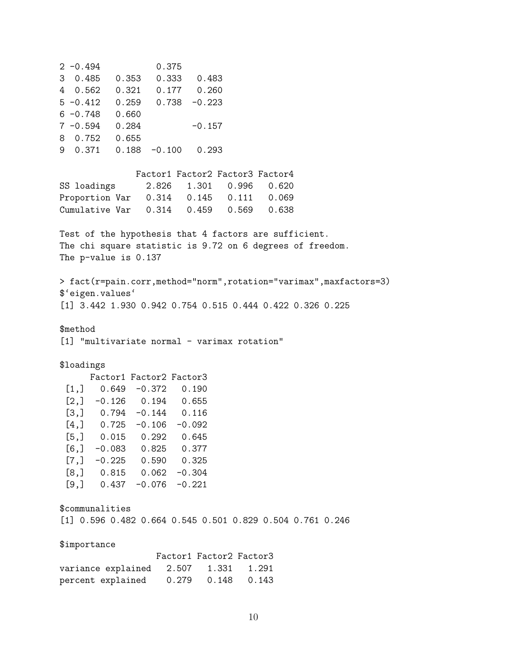2 -0.494 0.375 3 0.485 0.353 0.333 0.483 4 0.562 0.321 0.177 0.260 5 -0.412 0.259 0.738 -0.223 6 -0.748 0.660  $7 -0.594$  0.284  $-0.157$ 8 0.752 0.655 9 0.371 0.188 -0.100 0.293 Factor1 Factor2 Factor3 Factor4 SS loadings 2.826 1.301 0.996 0.620 Proportion Var 0.314 0.145 0.111 0.069 Cumulative Var 0.314 0.459 0.569 0.638 Test of the hypothesis that 4 factors are sufficient. The chi square statistic is 9.72 on 6 degrees of freedom. The p-value is 0.137 > fact(r=pain.corr,method="norm",rotation="varimax",maxfactors=3) \$'eigen.values' [1] 3.442 1.930 0.942 0.754 0.515 0.444 0.422 0.326 0.225 \$method [1] "multivariate normal - varimax rotation" \$loadings Factor1 Factor2 Factor3  $[1,]$  0.649 -0.372 0.190  $[2,] -0.126$  0.194 0.655 [3,] 0.794 -0.144 0.116  $[4,]$  0.725 -0.106 -0.092 [5,] 0.015 0.292 0.645  $[6,] -0.083$  0.825 0.377  $[7,] -0.225$  0.590 0.325  $[8,]$  0.815 0.062 -0.304  $[9,]$  0.437 -0.076 -0.221 \$communalities [1] 0.596 0.482 0.664 0.545 0.501 0.829 0.504 0.761 0.246 \$importance Factor1 Factor2 Factor3 variance explained 2.507 1.331 1.291 percent explained 0.279 0.148 0.143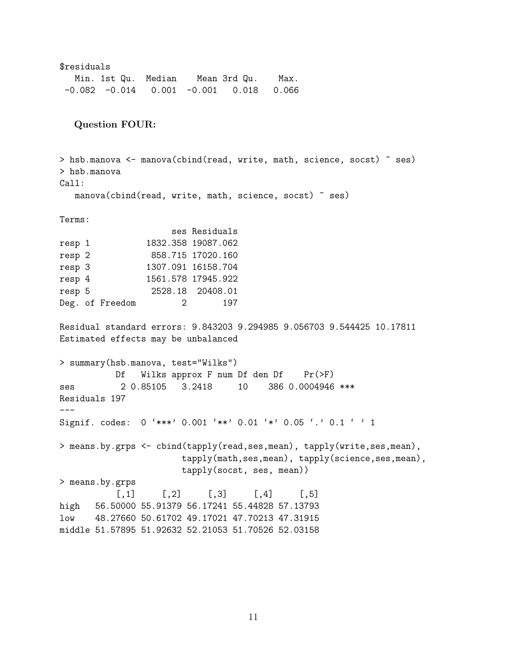\$residuals Min. 1st Qu. Median Mean 3rd Qu. Max.  $-0.082$   $-0.014$   $0.001$   $-0.001$   $0.018$   $0.066$ Question FOUR: > hsb.manova <- manova(cbind(read, write, math, science, socst) ~ ses) > hsb.manova Call: manova(cbind(read, write, math, science, socst) ~ ses) Terms: ses Residuals resp 1 1832.358 19087.062 resp 2 858.715 17020.160 resp 3 1307.091 16158.704 resp 4 1561.578 17945.922 resp 5 2528.18 20408.01 Deg. of Freedom 2 197 Residual standard errors: 9.843203 9.294985 9.056703 9.544425 10.17811 Estimated effects may be unbalanced > summary(hsb.manova, test="Wilks") Df Wilks approx F num Df den Df Pr(>F) ses 2 0.85105 3.2418 10 386 0.0004946 \*\*\* Residuals 197  $---$ Signif. codes: 0 '\*\*\*' 0.001 '\*\*' 0.01 '\*' 0.05 '.' 0.1 ' ' 1 > means.by.grps <- cbind(tapply(read,ses,mean), tapply(write,ses,mean), tapply(math,ses,mean), tapply(science,ses,mean), tapply(socst, ses, mean)) > means.by.grps  $[$ ,1]  $[$ ,2]  $[$ ,3]  $[$ ,4]  $[$ ,5] high 56.50000 55.91379 56.17241 55.44828 57.13793 low 48.27660 50.61702 49.17021 47.70213 47.31915 middle 51.57895 51.92632 52.21053 51.70526 52.03158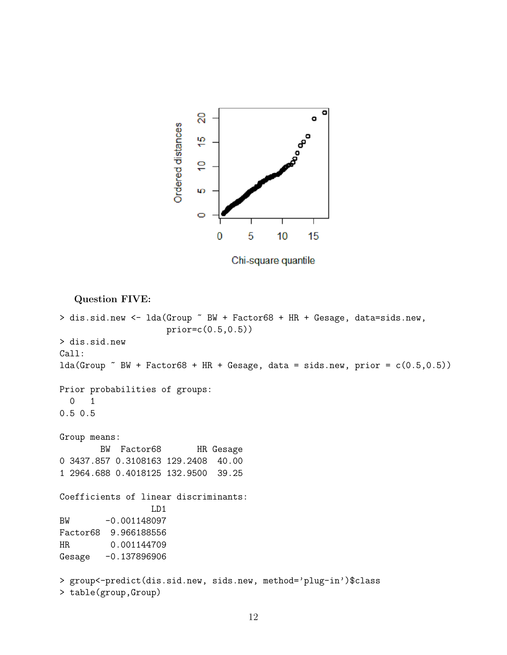

Chi-square quantile

Question FIVE: > dis.sid.new <- lda(Group ~ BW + Factor68 + HR + Gesage, data=sids.new, prior=c(0.5,0.5)) > dis.sid.new Call:  $lda(Group "BW + Factor68 + HR + Gesage, data = sides.new, prior =  $c(0.5, 0.5)$ )$ Prior probabilities of groups: 0 1 0.5 0.5 Group means: BW Factor68 HR Gesage 0 3437.857 0.3108163 129.2408 40.00 1 2964.688 0.4018125 132.9500 39.25 Coefficients of linear discriminants: LD1 BW -0.001148097 Factor68 9.966188556 HR 0.001144709 Gesage -0.137896906 > group<-predict(dis.sid.new, sids.new, method='plug-in')\$class > table(group,Group)